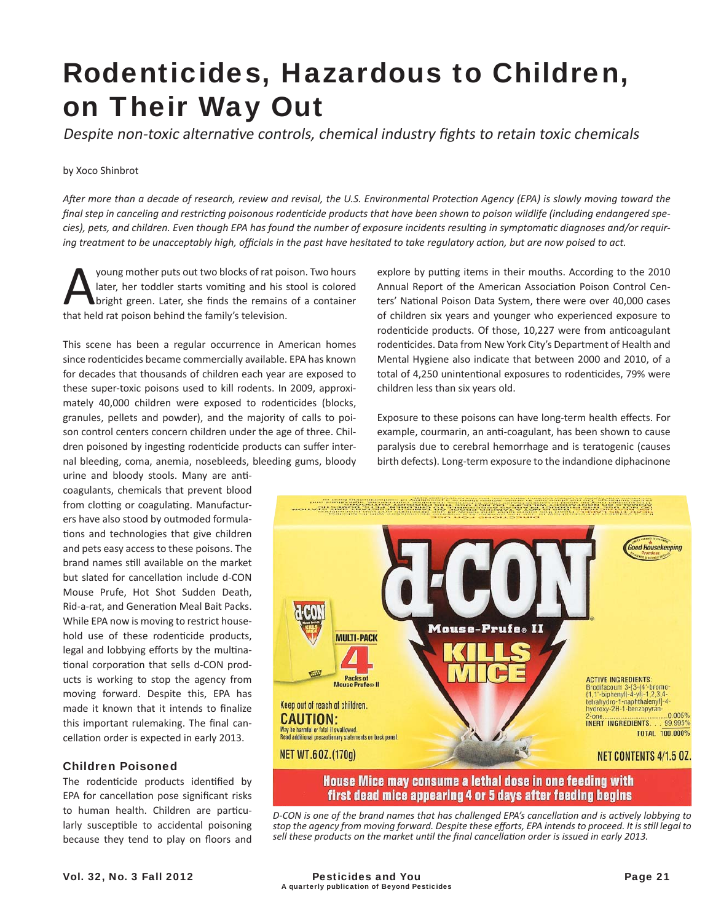# Rodenticides, Hazardous to Children, on Their Way Out

Despite non-toxic alternative controls, chemical industry fights to retain toxic chemicals

#### by Xoco Shinbrot

*AŌ er more than a decade of research, review and revisal, the U.S. Environmental ProtecƟ on Agency (EPA) is slowly moving toward the*  final step in canceling and restricting poisonous rodenticide products that have been shown to poison wildlife (including endangered species), pets, and children. Even though EPA has found the number of exposure incidents resulting in symptomatic diagnoses and/or requir*ing treatment to be unacceptably high, officials in the past have hesitated to take regulatory action, but are now poised to act.* 

Young mother puts out two blocks of rat poison. Two hours<br>later, her toddler starts vomiting and his stool is colored<br>bright green. Later, she finds the remains of a container<br>that held rat poison behind the family's telev later, her toddler starts vomiting and his stool is colored bright green. Later, she finds the remains of a container that held rat poison behind the family's television.

This scene has been a regular occurrence in American homes since rodenticides became commercially available. EPA has known for decades that thousands of children each year are exposed to these super-toxic poisons used to kill rodents. In 2009, approximately 40,000 children were exposed to rodenticides (blocks, granules, pellets and powder), and the majority of calls to poison control centers concern children under the age of three. Children poisoned by ingesting rodenticide products can suffer internal bleeding, coma, anemia, nosebleeds, bleeding gums, bloody

urine and bloody stools. Many are anticoagulants, chemicals that prevent blood from clotting or coagulating. Manufacturers have also stood by outmoded formulations and technologies that give children and pets easy access to these poisons. The brand names still available on the market but slated for cancellation include d-CON Mouse Prufe, Hot Shot Sudden Death, Rid-a-rat, and Generation Meal Bait Packs. While EPA now is moving to restrict household use of these rodenticide products, legal and lobbying efforts by the multinational corporation that sells d-CON products is working to stop the agency from moving forward. Despite this, EPA has made it known that it intends to finalize this important rulemaking. The final cancellation order is expected in early 2013.

## Children Poisoned

The rodenticide products identified by EPA for cancellation pose significant risks to human health. Children are particularly susceptible to accidental poisoning because they tend to play on floors and explore by putting items in their mouths. According to the 2010 Annual Report of the American Association Poison Control Centers' National Poison Data System, there were over 40,000 cases of children six years and younger who experienced exposure to rodenticide products. Of those, 10,227 were from anticoagulant rodenticides. Data from New York City's Department of Health and Mental Hygiene also indicate that between 2000 and 2010, of a total of 4,250 unintentional exposures to rodenticides, 79% were children less than six years old.

Exposure to these poisons can have long-term health effects. For example, courmarin, an anti-coagulant, has been shown to cause paralysis due to cerebral hemorrhage and is teratogenic (causes birth defects). Long-term exposure to the indandione diphacinone



*D-CON is one of the brand names that has challenged EPA's cancellation and is actively lobbying to stop the agency from moving forward. Despite these eff orts, EPA intends to proceed. It is sƟ ll legal to sell these products on the market until the final cancellation order is issued in early 2013.*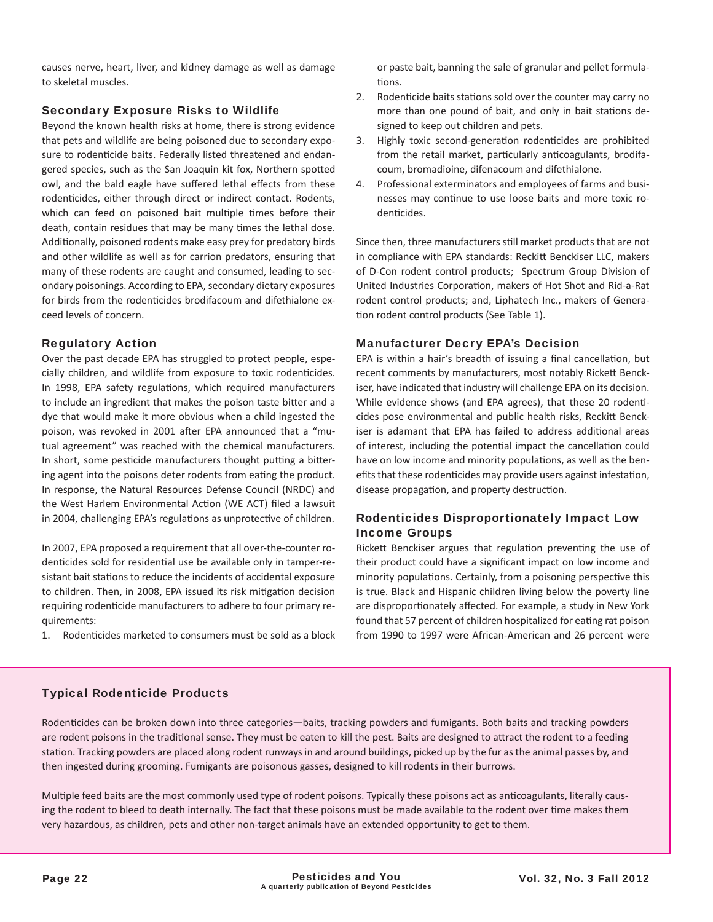causes nerve, heart, liver, and kidney damage as well as damage to skeletal muscles.

## Secondary Exposure Risks to Wildlife

Beyond the known health risks at home, there is strong evidence that pets and wildlife are being poisoned due to secondary exposure to rodenticide baits. Federally listed threatened and endangered species, such as the San Joaquin kit fox, Northern spotted owl, and the bald eagle have suffered lethal effects from these rodenticides, either through direct or indirect contact. Rodents, which can feed on poisoned bait multiple times before their death, contain residues that may be many times the lethal dose. Additionally, poisoned rodents make easy prey for predatory birds and other wildlife as well as for carrion predators, ensuring that many of these rodents are caught and consumed, leading to secondary poisonings. According to EPA, secondary dietary exposures for birds from the rodenticides brodifacoum and difethialone exceed levels of concern.

## Regulatory Action

Over the past decade EPA has struggled to protect people, especially children, and wildlife from exposure to toxic rodenticides. In 1998, EPA safety regulations, which required manufacturers to include an ingredient that makes the poison taste bitter and a dye that would make it more obvious when a child ingested the poison, was revoked in 2001 after EPA announced that a "mutual agreement" was reached with the chemical manufacturers. In short, some pesticide manufacturers thought putting a bittering agent into the poisons deter rodents from eating the product. In response, the Natural Resources Defense Council (NRDC) and the West Harlem Environmental Action (WE ACT) filed a lawsuit in 2004, challenging EPA's regulations as unprotective of children.

In 2007, EPA proposed a requirement that all over-the-counter rodenticides sold for residential use be available only in tamper-resistant bait stations to reduce the incidents of accidental exposure to children. Then, in 2008, EPA issued its risk mitigation decision requiring rodenticide manufacturers to adhere to four primary requirements:

1. Rodenticides marketed to consumers must be sold as a block

or paste bait, banning the sale of granular and pellet formulations.

- 2. Rodenticide baits stations sold over the counter may carry no more than one pound of bait, and only in bait stations designed to keep out children and pets.
- 3. Highly toxic second-generation rodenticides are prohibited from the retail market, particularly anticoagulants, brodifacoum, bromadioine, difenacoum and difethialone.
- 4. Professional exterminators and employees of farms and businesses may continue to use loose baits and more toxic rodenticides.

Since then, three manufacturers still market products that are not in compliance with EPA standards: Reckitt Benckiser LLC, makers of D-Con rodent control products; Spectrum Group Division of United Industries Corporation, makers of Hot Shot and Rid-a-Rat rodent control products; and, Liphatech Inc., makers of Generation rodent control products (See Table 1).

## Manufacturer Decry EPA's Decision

EPA is within a hair's breadth of issuing a final cancellation, but recent comments by manufacturers, most notably Rickett Benckiser, have indicated that industry will challenge EPA on its decision. While evidence shows (and EPA agrees), that these 20 rodenticides pose environmental and public health risks, Reckitt Benckiser is adamant that EPA has failed to address additional areas of interest, including the potential impact the cancellation could have on low income and minority populations, as well as the benefits that these rodenticides may provide users against infestation, disease propagation, and property destruction.

## Rodenticides Disproportionately Impact Low Income Groups

Rickett Benckiser argues that regulation preventing the use of their product could have a significant impact on low income and minority populations. Certainly, from a poisoning perspective this is true. Black and Hispanic children living below the poverty line are disproportionately affected. For example, a study in New York found that 57 percent of children hospitalized for eating rat poison from 1990 to 1997 were African-American and 26 percent were

## Typical Rodenticide Products

Rodenticides can be broken down into three categories—baits, tracking powders and fumigants. Both baits and tracking powders are rodent poisons in the traditional sense. They must be eaten to kill the pest. Baits are designed to attract the rodent to a feeding station. Tracking powders are placed along rodent runways in and around buildings, picked up by the fur as the animal passes by, and then ingested during grooming. Fumigants are poisonous gasses, designed to kill rodents in their burrows.

Multiple feed baits are the most commonly used type of rodent poisons. Typically these poisons act as anticoagulants, literally causing the rodent to bleed to death internally. The fact that these poisons must be made available to the rodent over time makes them very hazardous, as children, pets and other non-target animals have an extended opportunity to get to them.